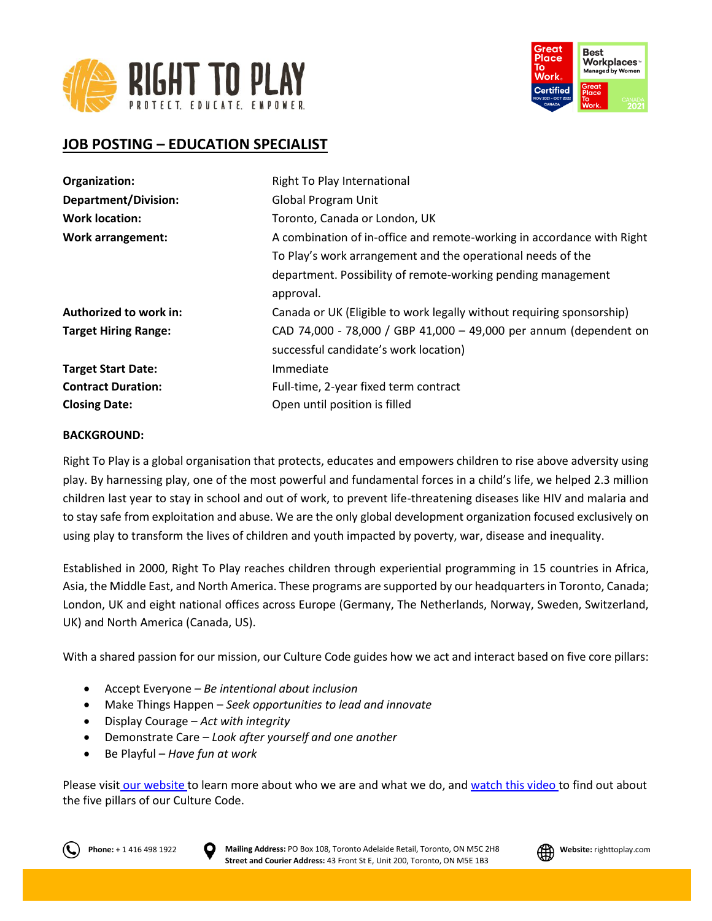



# **JOB POSTING – EDUCATION SPECIALIST**

| Organization:               | Right To Play International                                            |
|-----------------------------|------------------------------------------------------------------------|
| <b>Department/Division:</b> | <b>Global Program Unit</b>                                             |
| <b>Work location:</b>       | Toronto, Canada or London, UK                                          |
| <b>Work arrangement:</b>    | A combination of in-office and remote-working in accordance with Right |
|                             | To Play's work arrangement and the operational needs of the            |
|                             | department. Possibility of remote-working pending management           |
|                             | approval.                                                              |
| Authorized to work in:      | Canada or UK (Eligible to work legally without requiring sponsorship)  |
| <b>Target Hiring Range:</b> | CAD 74,000 - 78,000 / GBP 41,000 - 49,000 per annum (dependent on      |
|                             | successful candidate's work location)                                  |
| <b>Target Start Date:</b>   | Immediate                                                              |
| <b>Contract Duration:</b>   | Full-time, 2-year fixed term contract                                  |
| <b>Closing Date:</b>        | Open until position is filled                                          |

### **BACKGROUND:**

Right To Play is a global organisation that protects, educates and empowers children to rise above adversity using play. By harnessing play, one of the most powerful and fundamental forces in a child's life, we helped 2.3 million children last year to stay in school and out of work, to prevent life-threatening diseases like HIV and malaria and to stay safe from exploitation and abuse. We are the only global development organization focused exclusively on using play to transform the lives of children and youth impacted by poverty, war, disease and inequality.

Established in 2000, Right To Play reaches children through experiential programming in 15 countries in Africa, Asia, the Middle East, and North America. These programs are supported by our headquarters in Toronto, Canada; London, UK and eight national offices across Europe (Germany, The Netherlands, Norway, Sweden, Switzerland, UK) and North America (Canada, US).

With a shared passion for our mission, our Culture Code guides how we act and interact based on five core pillars:

- Accept Everyone *Be intentional about inclusion*
- Make Things Happen *Seek opportunities to lead and innovate*
- Display Courage *Act with integrity*
- Demonstrate Care *Look after yourself and one another*
- Be Playful *Have fun at work*

Please visit [our website](http://www.righttoplay.ca/) to learn more about who we are and what we do, and [watch this video](https://www.righttoplay.com/en/landing/our-culture-code/) to find out about the five pillars of our Culture Code.



**Phone:** + 1 416 498 1922 **D** Mailing Address: PO Box 108, Toronto Adelaide Retail, Toronto, ON M5C 2H8 **All Website:** righttoplay.com **Street and Courier Address:** 43 Front St E, Unit 200, Toronto, ON M5E 1B3

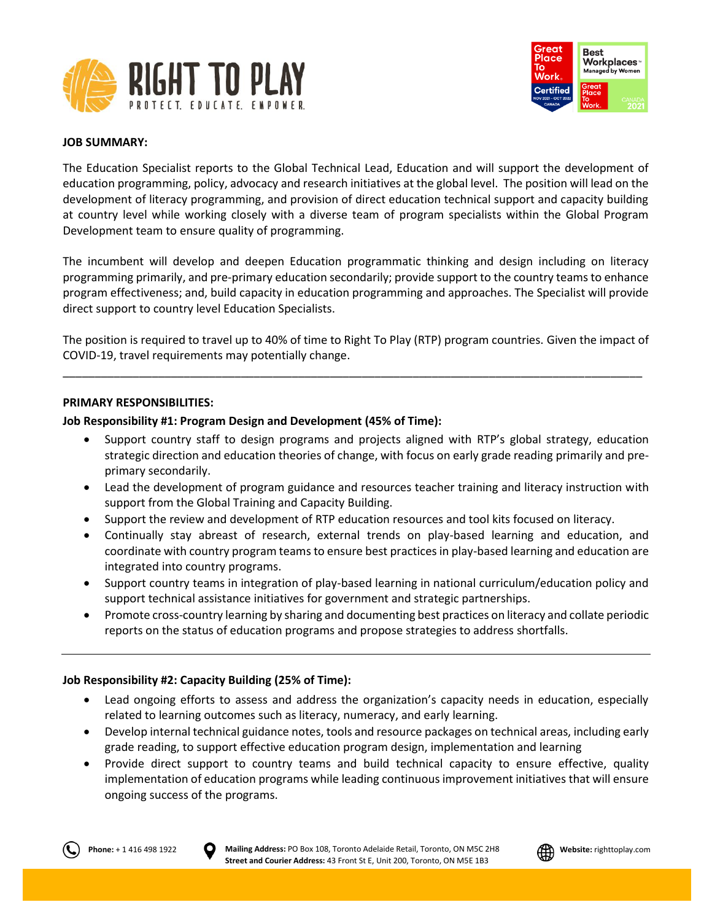



### **JOB SUMMARY:**

The Education Specialist reports to the Global Technical Lead, Education and will support the development of education programming, policy, advocacy and research initiatives at the global level. The position will lead on the development of literacy programming, and provision of direct education technical support and capacity building at country level while working closely with a diverse team of program specialists within the Global Program Development team to ensure quality of programming.

The incumbent will develop and deepen Education programmatic thinking and design including on literacy programming primarily, and pre-primary education secondarily; provide support to the country teams to enhance program effectiveness; and, build capacity in education programming and approaches. The Specialist will provide direct support to country level Education Specialists.

The position is required to travel up to 40% of time to Right To Play (RTP) program countries. Given the impact of COVID-19, travel requirements may potentially change.

\_\_\_\_\_\_\_\_\_\_\_\_\_\_\_\_\_\_\_\_\_\_\_\_\_\_\_\_\_\_\_\_\_\_\_\_\_\_\_\_\_\_\_\_\_\_\_\_\_\_\_\_\_\_\_\_\_\_\_\_\_\_\_\_\_\_\_\_\_\_\_\_\_\_\_\_\_\_\_\_\_\_\_\_\_\_\_\_\_\_\_

### **PRIMARY RESPONSIBILITIES:**

### **Job Responsibility #1: Program Design and Development (45% of Time):**

- Support country staff to design programs and projects aligned with RTP's global strategy, education strategic direction and education theories of change, with focus on early grade reading primarily and preprimary secondarily.
- Lead the development of program guidance and resources teacher training and literacy instruction with support from the Global Training and Capacity Building.
- Support the review and development of RTP education resources and tool kits focused on literacy.
- Continually stay abreast of research, external trends on play-based learning and education, and coordinate with country program teams to ensure best practices in play-based learning and education are integrated into country programs.
- Support country teams in integration of play-based learning in national curriculum/education policy and support technical assistance initiatives for government and strategic partnerships.
- Promote cross-country learning by sharing and documenting best practices on literacy and collate periodic reports on the status of education programs and propose strategies to address shortfalls.

# **Job Responsibility #2: Capacity Building (25% of Time):**

- Lead ongoing efforts to assess and address the organization's capacity needs in education, especially related to learning outcomes such as literacy, numeracy, and early learning.
- Develop internal technical guidance notes, tools and resource packages on technical areas, including early grade reading, to support effective education program design, implementation and learning
- Provide direct support to country teams and build technical capacity to ensure effective, quality implementation of education programs while leading continuous improvement initiatives that will ensure ongoing success of the programs.



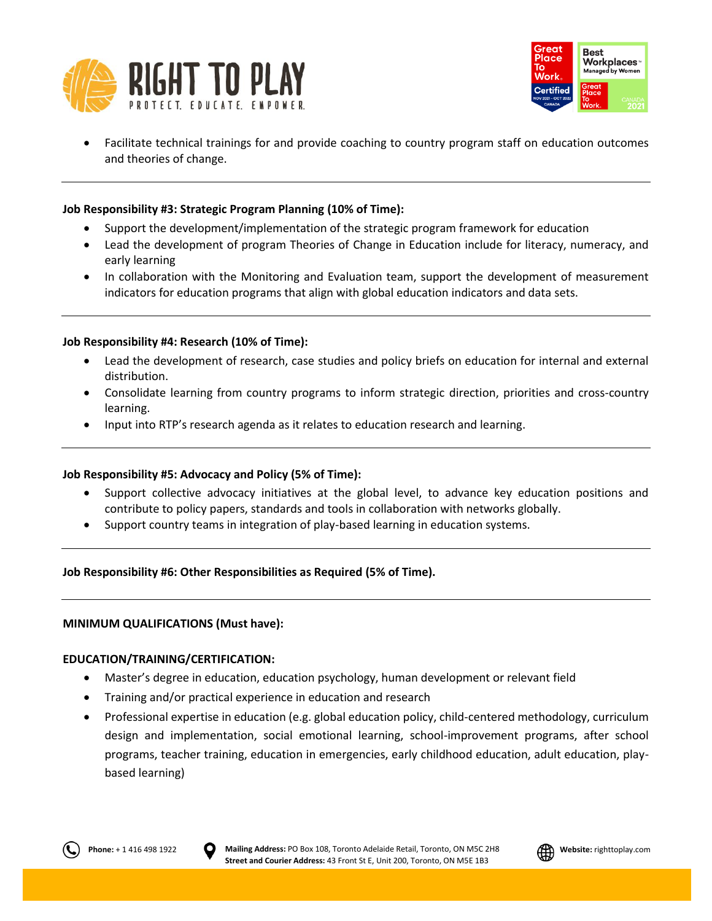



• Facilitate technical trainings for and provide coaching to country program staff on education outcomes and theories of change.

# **Job Responsibility #3: Strategic Program Planning (10% of Time):**

- Support the development/implementation of the strategic program framework for education
- Lead the development of program Theories of Change in Education include for literacy, numeracy, and early learning
- In collaboration with the Monitoring and Evaluation team, support the development of measurement indicators for education programs that align with global education indicators and data sets.

# **Job Responsibility #4: Research (10% of Time):**

- Lead the development of research, case studies and policy briefs on education for internal and external distribution.
- Consolidate learning from country programs to inform strategic direction, priorities and cross-country learning.
- Input into RTP's research agenda as it relates to education research and learning.

# **Job Responsibility #5: Advocacy and Policy (5% of Time):**

- Support collective advocacy initiatives at the global level, to advance key education positions and contribute to policy papers, standards and tools in collaboration with networks globally.
- Support country teams in integration of play-based learning in education systems.

**Job Responsibility #6: Other Responsibilities as Required (5% of Time).**

# **MINIMUM QUALIFICATIONS (Must have):**

# **EDUCATION/TRAINING/CERTIFICATION:**

- Master's degree in education, education psychology, human development or relevant field
- Training and/or practical experience in education and research
- Professional expertise in education (e.g. global education policy, child-centered methodology, curriculum design and implementation, social emotional learning, school-improvement programs, after school programs, teacher training, education in emergencies, early childhood education, adult education, playbased learning)



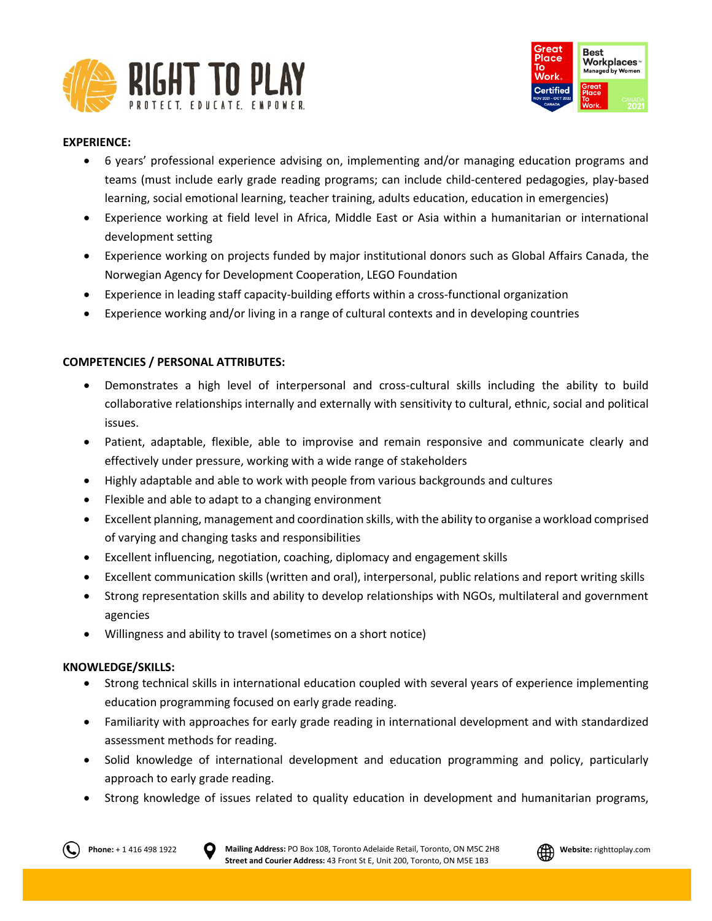



# **EXPERIENCE:**

- 6 years' professional experience advising on, implementing and/or managing education programs and teams (must include early grade reading programs; can include child-centered pedagogies, play-based learning, social emotional learning, teacher training, adults education, education in emergencies)
- Experience working at field level in Africa, Middle East or Asia within a humanitarian or international development setting
- Experience working on projects funded by major institutional donors such as Global Affairs Canada, the Norwegian Agency for Development Cooperation, LEGO Foundation
- Experience in leading staff capacity-building efforts within a cross-functional organization
- Experience working and/or living in a range of cultural contexts and in developing countries

# **COMPETENCIES / PERSONAL ATTRIBUTES:**

- Demonstrates a high level of interpersonal and cross-cultural skills including the ability to build collaborative relationships internally and externally with sensitivity to cultural, ethnic, social and political issues.
- Patient, adaptable, flexible, able to improvise and remain responsive and communicate clearly and effectively under pressure, working with a wide range of stakeholders
- Highly adaptable and able to work with people from various backgrounds and cultures
- Flexible and able to adapt to a changing environment
- Excellent planning, management and coordination skills, with the ability to organise a workload comprised of varying and changing tasks and responsibilities
- Excellent influencing, negotiation, coaching, diplomacy and engagement skills
- Excellent communication skills (written and oral), interpersonal, public relations and report writing skills
- Strong representation skills and ability to develop relationships with NGOs, multilateral and government agencies
- Willingness and ability to travel (sometimes on a short notice)

# **KNOWLEDGE/SKILLS:**

- Strong technical skills in international education coupled with several years of experience implementing education programming focused on early grade reading.
- Familiarity with approaches for early grade reading in international development and with standardized assessment methods for reading.
- Solid knowledge of international development and education programming and policy, particularly approach to early grade reading.
- Strong knowledge of issues related to quality education in development and humanitarian programs,



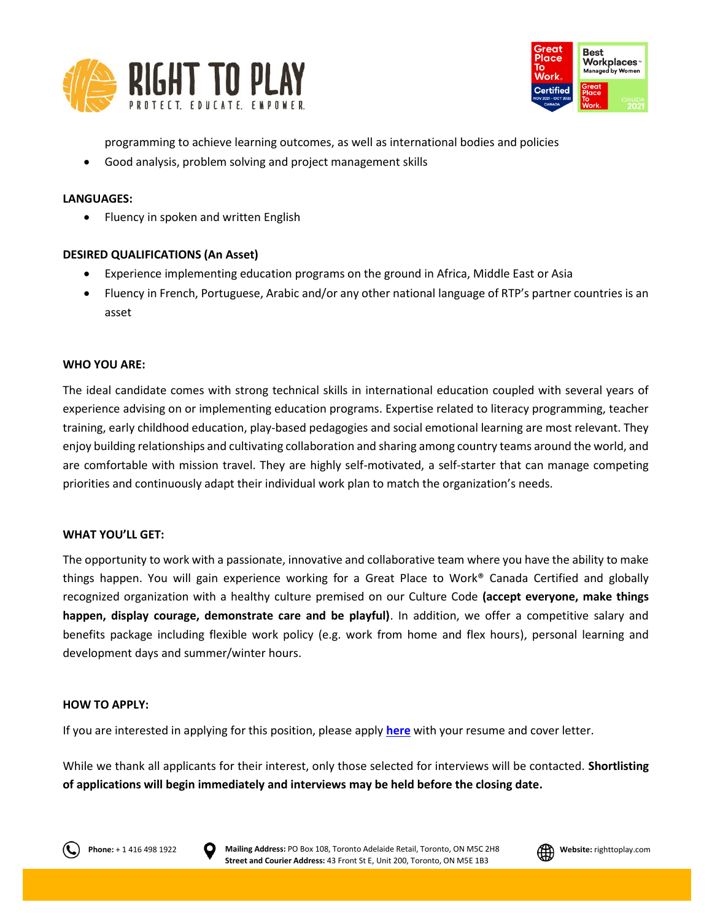



programming to achieve learning outcomes, as well as international bodies and policies

• Good analysis, problem solving and project management skills

# **LANGUAGES:**

• Fluency in spoken and written English

# **DESIRED QUALIFICATIONS (An Asset)**

- Experience implementing education programs on the ground in Africa, Middle East or Asia
- Fluency in French, Portuguese, Arabic and/or any other national language of RTP's partner countries is an asset

### **WHO YOU ARE:**

The ideal candidate comes with strong technical skills in international education coupled with several years of experience advising on or implementing education programs. Expertise related to literacy programming, teacher training, early childhood education, play-based pedagogies and social emotional learning are most relevant. They enjoy building relationships and cultivating collaboration and sharing among country teams around the world, and are comfortable with mission travel. They are highly self-motivated, a self-starter that can manage competing priorities and continuously adapt their individual work plan to match the organization's needs.

#### **WHAT YOU'LL GET:**

The opportunity to work with a passionate, innovative and collaborative team where you have the ability to make things happen. You will gain experience working for a Great Place to Work® Canada Certified and globally recognized organization with a healthy culture premised on our Culture Code **(accept everyone, make things happen, display courage, demonstrate care and be playful)**. In addition, we offer a competitive salary and benefits package including flexible work policy (e.g. work from home and flex hours), personal learning and development days and summer/winter hours.

#### **HOW TO APPLY:**

If you are interested in applying for this position, please apply **[here](https://righttoplay.hiringplatform.ca/54284-education-specialist/188539-application-form/en)** with your resume and cover letter.

While we thank all applicants for their interest, only those selected for interviews will be contacted. **Shortlisting of applications will begin immediately and interviews may be held before the closing date.**





**Phone:** + 1 416 498 1922 **D** Mailing Address: PO Box 108, Toronto Adelaide Retail, Toronto, ON M5C 2H8 **All Website:** righttoplay.com **Street and Courier Address:** 43 Front St E, Unit 200, Toronto, ON M5E 1B3